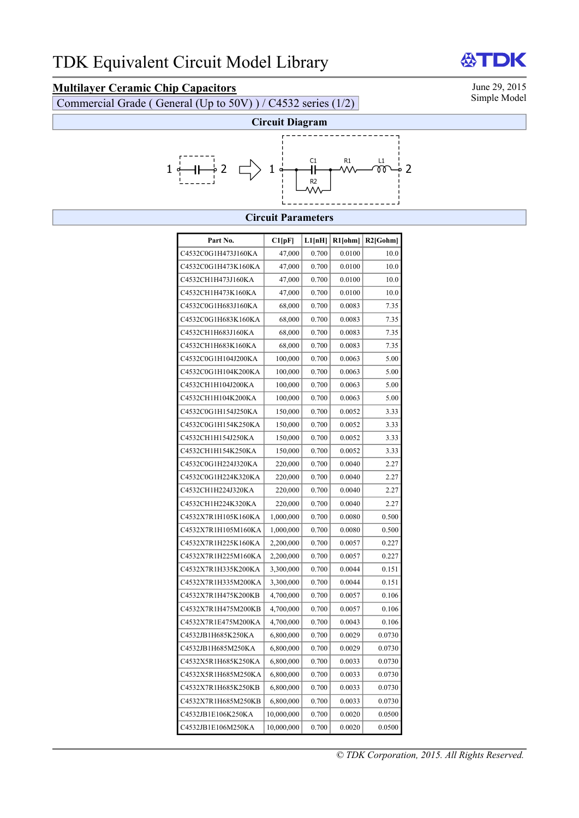## **Multilayer Ceramic Chip Capacitors** June 29, 2015<br>Commercial Grade (General (Unite 50V) ) / C4532 series (1/2) Simple Model

Commercial Grade ( General (Up to 50V) ) / C4532 series (1/2)





## **Circuit Parameters**

| Part No.            | Cl[pF]     | L1[nH] | R1[ohm] | R2[Gohm] |
|---------------------|------------|--------|---------|----------|
| C4532C0G1H473J160KA | 47,000     | 0.700  | 0.0100  | 10.0     |
| C4532C0G1H473K160KA | 47,000     | 0.700  | 0.0100  | 10.0     |
| C4532CH1H473J160KA  | 47,000     | 0.700  | 0.0100  | 10.0     |
| C4532CH1H473K160KA  | 47,000     | 0.700  | 0.0100  | 10.0     |
| C4532C0G1H683J160KA | 68,000     | 0.700  | 0.0083  | 7.35     |
| C4532C0G1H683K160KA | 68,000     | 0.700  | 0.0083  | 7.35     |
| C4532CH1H683J160KA  | 68,000     | 0.700  | 0.0083  | 7.35     |
| C4532CH1H683K160KA  | 68,000     | 0.700  | 0.0083  | 7.35     |
| C4532C0G1H104J200KA | 100,000    | 0.700  | 0.0063  | 5.00     |
| C4532C0G1H104K200KA | 100,000    | 0.700  | 0.0063  | 5.00     |
| C4532CH1H104J200KA  | 100,000    | 0.700  | 0.0063  | 5.00     |
| C4532CH1H104K200KA  | 100,000    | 0.700  | 0.0063  | 5.00     |
| C4532C0G1H154J250KA | 150,000    | 0.700  | 0.0052  | 3.33     |
| C4532C0G1H154K250KA | 150,000    | 0.700  | 0.0052  | 3.33     |
| C4532CH1H154J250KA  | 150,000    | 0.700  | 0.0052  | 3.33     |
| C4532CH1H154K250KA  | 150,000    | 0.700  | 0.0052  | 3.33     |
| C4532C0G1H224J320KA | 220,000    | 0.700  | 0.0040  | 2.27     |
| C4532C0G1H224K320KA | 220,000    | 0.700  | 0.0040  | 2.27     |
| C4532CH1H224J320KA  | 220,000    | 0.700  | 0.0040  | 2.27     |
| C4532CH1H224K320KA  | 220,000    | 0.700  | 0.0040  | 2.27     |
| C4532X7R1H105K160KA | 1,000,000  | 0.700  | 0.0080  | 0.500    |
| C4532X7R1H105M160KA | 1,000,000  | 0.700  | 0.0080  | 0.500    |
| C4532X7R1H225K160KA | 2,200,000  | 0.700  | 0.0057  | 0.227    |
| C4532X7R1H225M160KA | 2,200,000  | 0.700  | 0.0057  | 0.227    |
| C4532X7R1H335K200KA | 3,300,000  | 0.700  | 0.0044  | 0.151    |
| C4532X7R1H335M200KA | 3,300,000  | 0.700  | 0.0044  | 0.151    |
| C4532X7R1H475K200KB | 4,700,000  | 0.700  | 0.0057  | 0.106    |
| C4532X7R1H475M200KB | 4,700,000  | 0.700  | 0.0057  | 0.106    |
| C4532X7R1E475M200KA | 4,700,000  | 0.700  | 0.0043  | 0.106    |
| C4532JB1H685K250KA  | 6,800,000  | 0.700  | 0.0029  | 0.0730   |
| C4532JB1H685M250KA  | 6,800,000  | 0.700  | 0.0029  | 0.0730   |
| C4532X5R1H685K250KA | 6,800,000  | 0.700  | 0.0033  | 0.0730   |
| C4532X5R1H685M250KA | 6,800,000  | 0.700  | 0.0033  | 0.0730   |
| C4532X7R1H685K250KB | 6,800,000  | 0.700  | 0.0033  | 0.0730   |
| C4532X7R1H685M250KB | 6,800,000  | 0.700  | 0.0033  | 0.0730   |
| C4532JB1E106K250KA  | 10,000,000 | 0.700  | 0.0020  | 0.0500   |
| C4532JB1E106M250KA  | 10,000,000 | 0.700  | 0.0020  | 0.0500   |

*© TDK Corporation, 2015. All Rights Reserved.*